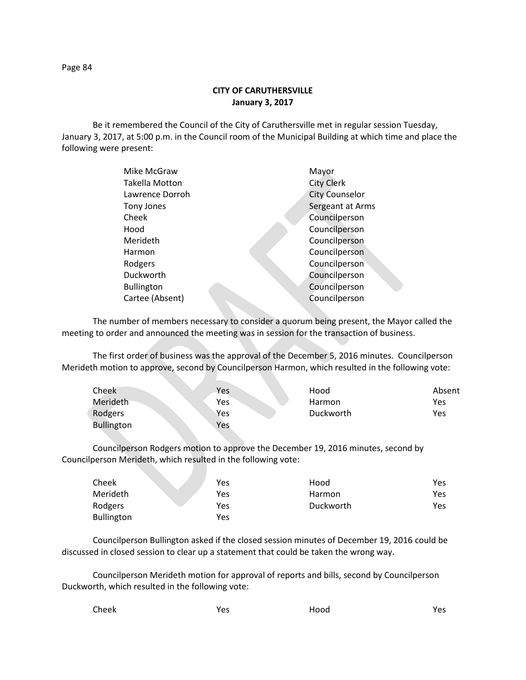**CITY OF CARUTHERSVILLE January 3, 2017**

Be it remembered the Council of the City of Caruthersville met in regular session Tuesday, January 3, 2017, at 5:00 p.m. in the Council room of the Municipal Building at which time and place the following were present:

| Mike McGraw           | Mayor                 |
|-----------------------|-----------------------|
| <b>Takella Motton</b> | <b>City Clerk</b>     |
| Lawrence Dorroh       | <b>City Counselor</b> |
| Tony Jones            | Sergeant at Arms      |
| Cheek                 | Councilperson         |
| Hood                  | Councilperson         |
| Merideth              | Councilperson         |
| Harmon                | Councilperson         |
| Rodgers               | Councilperson         |
| Duckworth             | Councilperson         |
| <b>Bullington</b>     | Councilperson         |
| Cartee (Absent)       | Councilperson         |
|                       |                       |

The number of members necessary to consider a quorum being present, the Mayor called the meeting to order and announced the meeting was in session for the transaction of business.

The first order of business was the approval of the December 5, 2016 minutes. Councilperson Merideth motion to approve, second by Councilperson Harmon, which resulted in the following vote:

| Cheek             | Yes | Hood      | Absent |
|-------------------|-----|-----------|--------|
| Merideth          | Yes | Harmon    | Yes    |
| Rodgers           | Yes | Duckworth | Yes    |
| <b>Bullington</b> | Yes |           |        |

Councilperson Rodgers motion to approve the December 19, 2016 minutes, second by Councilperson Merideth, which resulted in the following vote:

| Cheek             | Yes | Hood      | Yes. |
|-------------------|-----|-----------|------|
| Merideth          | Yes | Harmon    | Yes. |
| Rodgers           | Yes | Duckworth | Yes. |
| <b>Bullington</b> | Yes |           |      |

Councilperson Bullington asked if the closed session minutes of December 19, 2016 could be discussed in closed session to clear up a statement that could be taken the wrong way.

Councilperson Merideth motion for approval of reports and bills, second by Councilperson Duckworth, which resulted in the following vote:

| Cheek | Yes | Hood | Yes |
|-------|-----|------|-----|
|       |     |      |     |

Page 84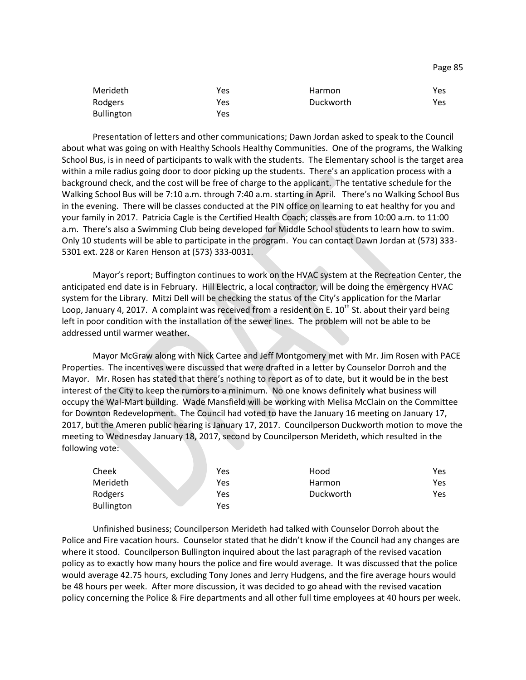| Merideth          | Yes | Harmon    | Yes |
|-------------------|-----|-----------|-----|
| Rodgers           | Yes | Duckworth | Yes |
| <b>Bullington</b> | Yes |           |     |

Presentation of letters and other communications; Dawn Jordan asked to speak to the Council about what was going on with Healthy Schools Healthy Communities. One of the programs, the Walking School Bus, is in need of participants to walk with the students. The Elementary school is the target area within a mile radius going door to door picking up the students. There's an application process with a background check, and the cost will be free of charge to the applicant. The tentative schedule for the Walking School Bus will be 7:10 a.m. through 7:40 a.m. starting in April. There's no Walking School Bus in the evening. There will be classes conducted at the PIN office on learning to eat healthy for you and your family in 2017. Patricia Cagle is the Certified Health Coach; classes are from 10:00 a.m. to 11:00 a.m. There's also a Swimming Club being developed for Middle School students to learn how to swim. Only 10 students will be able to participate in the program. You can contact Dawn Jordan at (573) 333- 5301 ext. 228 or Karen Henson at (573) 333-0031.

Mayor's report; Buffington continues to work on the HVAC system at the Recreation Center, the anticipated end date is in February. Hill Electric, a local contractor, will be doing the emergency HVAC system for the Library. Mitzi Dell will be checking the status of the City's application for the Marlar Loop, January 4, 2017. A complaint was received from a resident on E.  $10^{th}$  St. about their yard being left in poor condition with the installation of the sewer lines. The problem will not be able to be addressed until warmer weather.

Mayor McGraw along with Nick Cartee and Jeff Montgomery met with Mr. Jim Rosen with PACE Properties. The incentives were discussed that were drafted in a letter by Counselor Dorroh and the Mayor. Mr. Rosen has stated that there's nothing to report as of to date, but it would be in the best interest of the City to keep the rumors to a minimum. No one knows definitely what business will occupy the Wal-Mart building. Wade Mansfield will be working with Melisa McClain on the Committee for Downton Redevelopment. The Council had voted to have the January 16 meeting on January 17, 2017, but the Ameren public hearing is January 17, 2017. Councilperson Duckworth motion to move the meeting to Wednesday January 18, 2017, second by Councilperson Merideth, which resulted in the following vote:

| Cheek             | Yes | Hood      | Yes |
|-------------------|-----|-----------|-----|
| Merideth          | Yes | Harmon    | Yes |
| Rodgers           | Yes | Duckworth | Yes |
| <b>Bullington</b> | Yes |           |     |

Unfinished business; Councilperson Merideth had talked with Counselor Dorroh about the Police and Fire vacation hours. Counselor stated that he didn't know if the Council had any changes are where it stood. Councilperson Bullington inquired about the last paragraph of the revised vacation policy as to exactly how many hours the police and fire would average. It was discussed that the police would average 42.75 hours, excluding Tony Jones and Jerry Hudgens, and the fire average hours would be 48 hours per week. After more discussion, it was decided to go ahead with the revised vacation policy concerning the Police & Fire departments and all other full time employees at 40 hours per week.

Page 85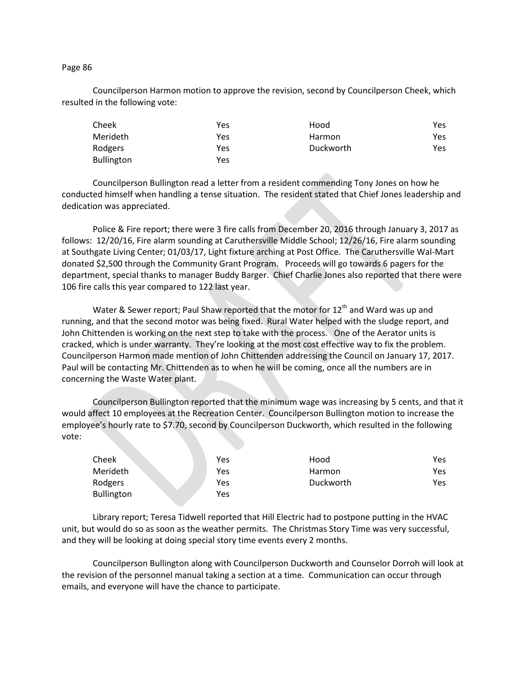## Page 86

Councilperson Harmon motion to approve the revision, second by Councilperson Cheek, which resulted in the following vote:

| Cheek             | Yes | Hood      | Yes |
|-------------------|-----|-----------|-----|
| Merideth          | Yes | Harmon    | Yes |
| Rodgers           | Yes | Duckworth | Yes |
| <b>Bullington</b> | Yes |           |     |

Councilperson Bullington read a letter from a resident commending Tony Jones on how he conducted himself when handling a tense situation. The resident stated that Chief Jones leadership and dedication was appreciated.

Police & Fire report; there were 3 fire calls from December 20, 2016 through January 3, 2017 as follows: 12/20/16, Fire alarm sounding at Caruthersville Middle School; 12/26/16, Fire alarm sounding at Southgate Living Center; 01/03/17, Light fixture arching at Post Office. The Caruthersville Wal-Mart donated \$2,500 through the Community Grant Program. Proceeds will go towards 6 pagers for the department, special thanks to manager Buddy Barger. Chief Charlie Jones also reported that there were 106 fire calls this year compared to 122 last year.

Water & Sewer report; Paul Shaw reported that the motor for  $12<sup>th</sup>$  and Ward was up and running, and that the second motor was being fixed. Rural Water helped with the sludge report, and John Chittenden is working on the next step to take with the process. One of the Aerator units is cracked, which is under warranty. They're looking at the most cost effective way to fix the problem. Councilperson Harmon made mention of John Chittenden addressing the Council on January 17, 2017. Paul will be contacting Mr. Chittenden as to when he will be coming, once all the numbers are in concerning the Waste Water plant.

Councilperson Bullington reported that the minimum wage was increasing by 5 cents, and that it would affect 10 employees at the Recreation Center. Councilperson Bullington motion to increase the employee's hourly rate to \$7.70, second by Councilperson Duckworth, which resulted in the following vote:

| Cheek             | Yes | Hood          | Yes |
|-------------------|-----|---------------|-----|
| Merideth          | Yes | <b>Harmon</b> | Yes |
| Rodgers           | Yes | Duckworth     | Yes |
| <b>Bullington</b> | Yes |               |     |

Library report; Teresa Tidwell reported that Hill Electric had to postpone putting in the HVAC unit, but would do so as soon as the weather permits. The Christmas Story Time was very successful, and they will be looking at doing special story time events every 2 months.

Councilperson Bullington along with Councilperson Duckworth and Counselor Dorroh will look at the revision of the personnel manual taking a section at a time. Communication can occur through emails, and everyone will have the chance to participate.